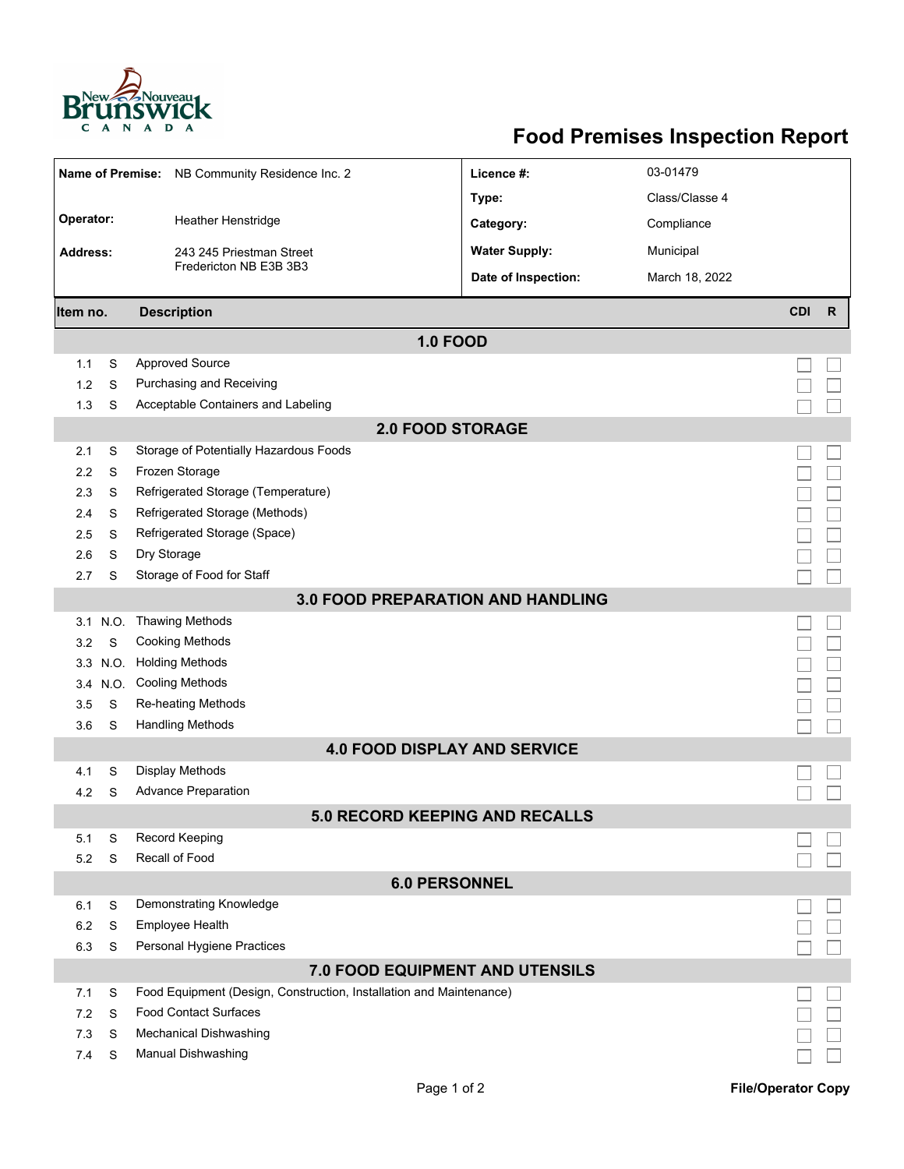

## **Food Premises Inspection Report**

| <b>Name of Premise:</b>                  |          | NB Community Residence Inc. 2                                       | Licence #:           | 03-01479       |            |              |  |  |  |
|------------------------------------------|----------|---------------------------------------------------------------------|----------------------|----------------|------------|--------------|--|--|--|
|                                          |          |                                                                     | Type:                | Class/Classe 4 |            |              |  |  |  |
| Operator:                                |          | Heather Henstridge                                                  |                      | Compliance     |            |              |  |  |  |
| <b>Address:</b>                          |          |                                                                     | Category:            |                |            |              |  |  |  |
|                                          |          | 243 245 Priestman Street<br>Fredericton NB E3B 3B3                  | <b>Water Supply:</b> | Municipal      |            |              |  |  |  |
|                                          |          |                                                                     | Date of Inspection:  | March 18, 2022 |            |              |  |  |  |
| Item no.                                 |          | <b>Description</b>                                                  |                      |                | <b>CDI</b> | $\mathsf{R}$ |  |  |  |
| <b>1.0 FOOD</b>                          |          |                                                                     |                      |                |            |              |  |  |  |
| 1.1                                      | S        | <b>Approved Source</b>                                              |                      |                |            |              |  |  |  |
| 1.2                                      | S        | Purchasing and Receiving                                            |                      |                |            |              |  |  |  |
| 1.3                                      | S        | Acceptable Containers and Labeling                                  |                      |                |            |              |  |  |  |
| <b>2.0 FOOD STORAGE</b>                  |          |                                                                     |                      |                |            |              |  |  |  |
| 2.1                                      | S        | Storage of Potentially Hazardous Foods                              |                      |                |            |              |  |  |  |
| 2.2                                      | S        | Frozen Storage                                                      |                      |                |            |              |  |  |  |
| 2.3                                      | S        | Refrigerated Storage (Temperature)                                  |                      |                |            |              |  |  |  |
| 2.4                                      | S        | Refrigerated Storage (Methods)                                      |                      |                |            |              |  |  |  |
| 2.5                                      | S        | Refrigerated Storage (Space)                                        |                      |                |            |              |  |  |  |
| 2.6                                      | S        | Dry Storage                                                         |                      |                |            |              |  |  |  |
| 2.7                                      | S        | Storage of Food for Staff                                           |                      |                |            |              |  |  |  |
| <b>3.0 FOOD PREPARATION AND HANDLING</b> |          |                                                                     |                      |                |            |              |  |  |  |
| 3.1                                      | N.O.     | <b>Thawing Methods</b>                                              |                      |                |            |              |  |  |  |
| 3.2                                      | S        | <b>Cooking Methods</b>                                              |                      |                |            |              |  |  |  |
|                                          | 3.3 N.O. | <b>Holding Methods</b>                                              |                      |                |            |              |  |  |  |
|                                          | 3.4 N.O. | <b>Cooling Methods</b>                                              |                      |                |            |              |  |  |  |
| 3.5                                      | S        | Re-heating Methods                                                  |                      |                |            |              |  |  |  |
| 3.6                                      | S        | <b>Handling Methods</b>                                             |                      |                |            |              |  |  |  |
| <b>4.0 FOOD DISPLAY AND SERVICE</b>      |          |                                                                     |                      |                |            |              |  |  |  |
| 4.1                                      | S        | <b>Display Methods</b>                                              |                      |                |            |              |  |  |  |
| 4.2                                      | S        | <b>Advance Preparation</b>                                          |                      |                |            |              |  |  |  |
| 5.0 RECORD KEEPING AND RECALLS           |          |                                                                     |                      |                |            |              |  |  |  |
| 5.1                                      | S        | Record Keeping                                                      |                      |                |            |              |  |  |  |
| 5.2                                      | S        | Recall of Food                                                      |                      |                |            |              |  |  |  |
| <b>6.0 PERSONNEL</b>                     |          |                                                                     |                      |                |            |              |  |  |  |
| 6.1                                      | S        | Demonstrating Knowledge                                             |                      |                |            |              |  |  |  |
| 6.2                                      | S        | Employee Health                                                     |                      |                |            |              |  |  |  |
| 6.3                                      | S        | Personal Hygiene Practices                                          |                      |                |            |              |  |  |  |
| 7.0 FOOD EQUIPMENT AND UTENSILS          |          |                                                                     |                      |                |            |              |  |  |  |
| 7.1                                      | S        | Food Equipment (Design, Construction, Installation and Maintenance) |                      |                |            |              |  |  |  |
| 7.2                                      | S        | <b>Food Contact Surfaces</b>                                        |                      |                |            |              |  |  |  |
| 7.3                                      | S        | <b>Mechanical Dishwashing</b>                                       |                      |                |            |              |  |  |  |
| 7.4                                      | S        | Manual Dishwashing                                                  |                      |                |            |              |  |  |  |